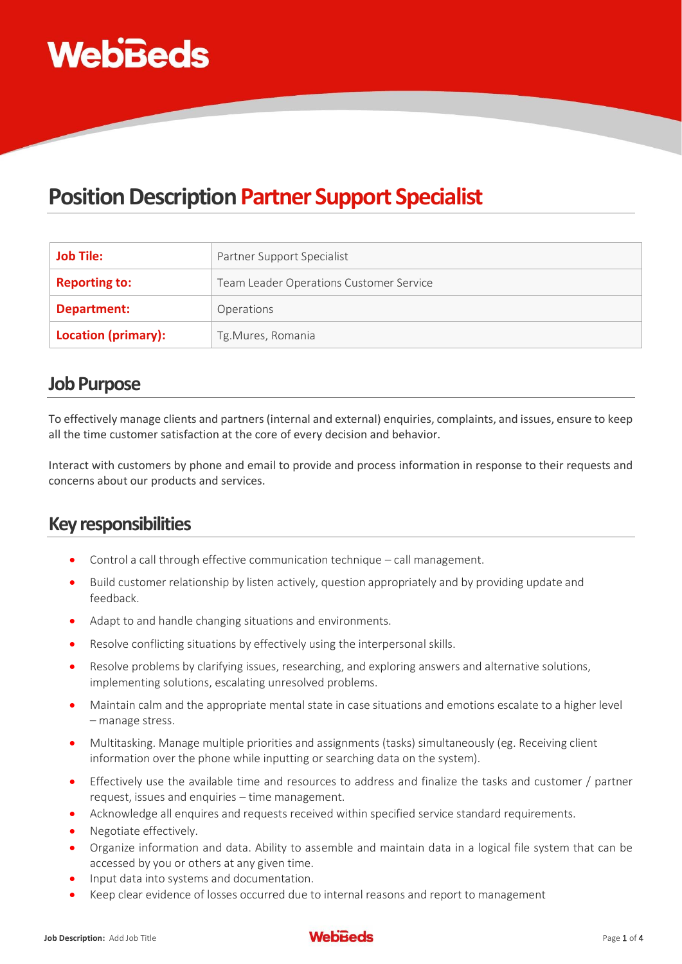

## **Position Description Partner Support Specialist**

| <b>Job Tile:</b>     | Partner Support Specialist              |
|----------------------|-----------------------------------------|
| <b>Reporting to:</b> | Team Leader Operations Customer Service |
| Department:          | Operations                              |
| Location (primary):  | Tg.Mures, Romania                       |

#### **Job Purpose**

To effectively manage clients and partners (internal and external) enquiries, complaints, and issues, ensure to keep all the time customer satisfaction at the core of every decision and behavior.

Interact with customers by phone and email to provide and process information in response to their requests and concerns about our products and services.

## **Key responsibilities**

- Control a call through effective communication technique call management.
- Build customer relationship by listen actively, question appropriately and by providing update and feedback.
- Adapt to and handle changing situations and environments.
- Resolve conflicting situations by effectively using the interpersonal skills.
- Resolve problems by clarifying issues, researching, and exploring answers and alternative solutions, implementing solutions, escalating unresolved problems.
- Maintain calm and the appropriate mental state in case situations and emotions escalate to a higher level – manage stress.
- Multitasking. Manage multiple priorities and assignments (tasks) simultaneously (eg. Receiving client information over the phone while inputting or searching data on the system).
- Effectively use the available time and resources to address and finalize the tasks and customer / partner request, issues and enquiries – time management.
- Acknowledge all enquires and requests received within specified service standard requirements.
- Negotiate effectively.
- Organize information and data. Ability to assemble and maintain data in a logical file system that can be accessed by you or others at any given time.
- Input data into systems and documentation.
- Keep clear evidence of losses occurred due to internal reasons and report to management

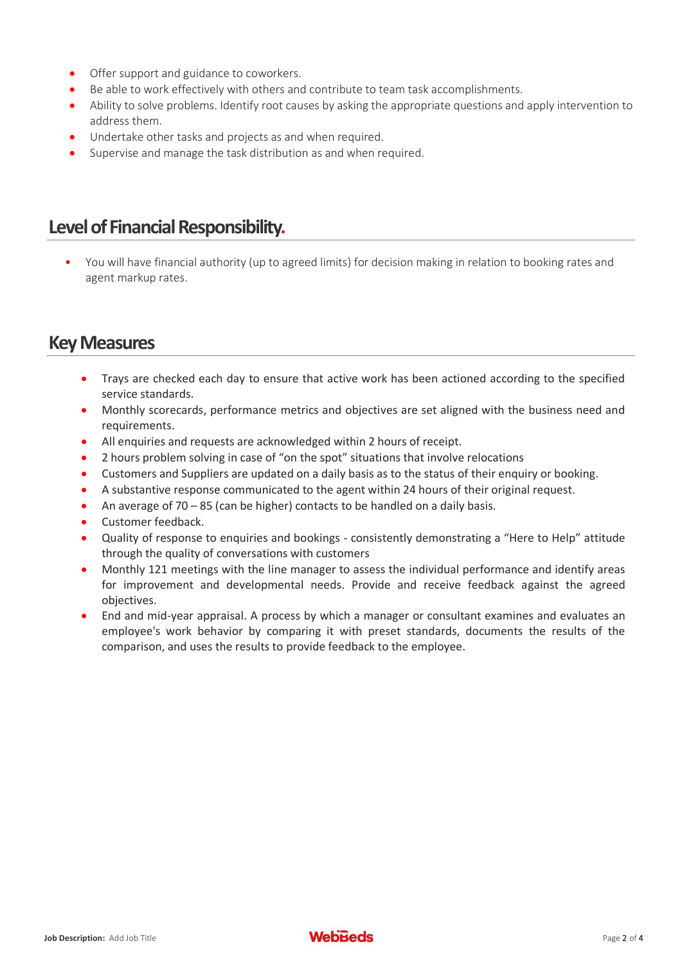- **•** Offer support and guidance to coworkers.
- Be able to work effectively with others and contribute to team task accomplishments.
- Ability to solve problems. Identify root causes by asking the appropriate questions and apply intervention to address them.
- Undertake other tasks and projects as and when required.
- Supervise and manage the task distribution as and when required.

#### **Level of Financial Responsibility.**

• You will have financial authority (up to agreed limits) for decision making in relation to booking rates and agent markup rates.

#### **Key Measures**

- Trays are checked each day to ensure that active work has been actioned according to the specified service standards.
- Monthly scorecards, performance metrics and objectives are set aligned with the business need and requirements.
- All enquiries and requests are acknowledged within 2 hours of receipt.
- 2 hours problem solving in case of "on the spot" situations that involve relocations
- Customers and Suppliers are updated on a daily basis as to the status of their enquiry or booking.
- A substantive response communicated to the agent within 24 hours of their original request.
- An average of 70 85 (can be higher) contacts to be handled on a daily basis.
- Customer feedback.
- Quality of response to enquiries and bookings consistently demonstrating a "Here to Help" attitude through the quality of conversations with customers
- Monthly 121 meetings with the line manager to assess the individual performance and identify areas for improvement and developmental needs. Provide and receive feedback against the agreed objectives.
- End and mid-year appraisal. A process by which a manager or consultant examines and evaluates an employee's work behavior by comparing it with preset standards, documents the results of the comparison, and uses the results to provide feedback to the employee.

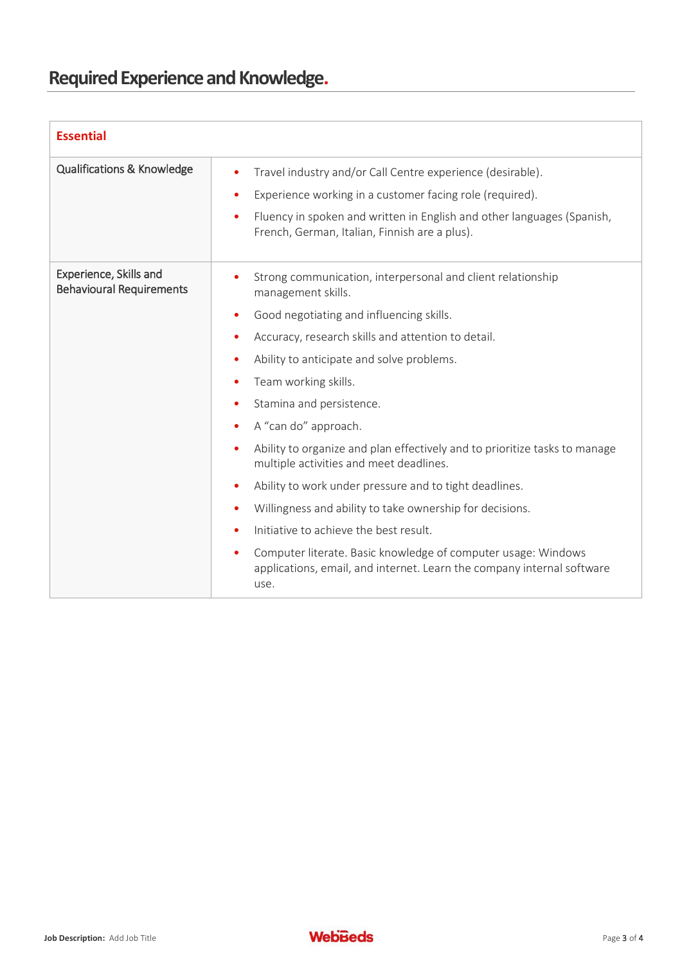# **Required Experience and Knowledge.**

| <b>Essential</b>                                          |                                                                                                                                                                                                                                                                                                                                                                                                                                                                                                                                                                                                                                                                                                                                                                                                                                     |
|-----------------------------------------------------------|-------------------------------------------------------------------------------------------------------------------------------------------------------------------------------------------------------------------------------------------------------------------------------------------------------------------------------------------------------------------------------------------------------------------------------------------------------------------------------------------------------------------------------------------------------------------------------------------------------------------------------------------------------------------------------------------------------------------------------------------------------------------------------------------------------------------------------------|
| Qualifications & Knowledge                                | Travel industry and/or Call Centre experience (desirable).<br>٠<br>Experience working in a customer facing role (required).<br>$\bullet$<br>Fluency in spoken and written in English and other languages (Spanish,<br>$\bullet$<br>French, German, Italian, Finnish are a plus).                                                                                                                                                                                                                                                                                                                                                                                                                                                                                                                                                    |
| Experience, Skills and<br><b>Behavioural Requirements</b> | Strong communication, interpersonal and client relationship<br>management skills.<br>Good negotiating and influencing skills.<br>Accuracy, research skills and attention to detail.<br>Ability to anticipate and solve problems.<br>٠<br>Team working skills.<br>٠<br>Stamina and persistence.<br>A "can do" approach.<br>Ability to organize and plan effectively and to prioritize tasks to manage<br>$\bullet$<br>multiple activities and meet deadlines.<br>Ability to work under pressure and to tight deadlines.<br>$\bullet$<br>Willingness and ability to take ownership for decisions.<br>$\bullet$<br>Initiative to achieve the best result.<br>$\bullet$<br>Computer literate. Basic knowledge of computer usage: Windows<br>$\bullet$<br>applications, email, and internet. Learn the company internal software<br>use. |